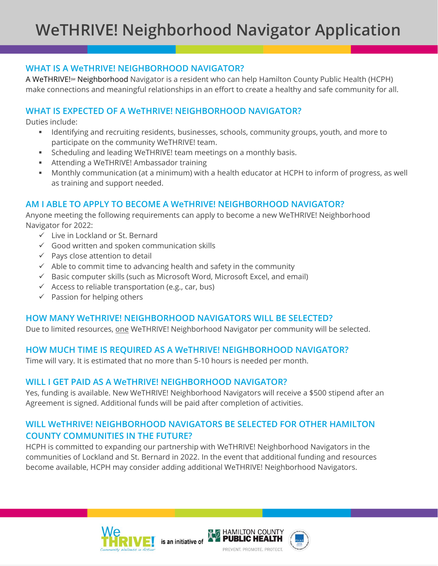# **WHAT IS A WeTHRIVE! NEIGHBORHOOD NAVIGATOR?**

A WeTHRIVE!<sup>M</sup> Neighborhood Navigator is a resident who can help Hamilton County Public Health (HCPH) make connections and meaningful relationships in an effort to create a healthy and safe community for all.

# **WHAT IS EXPECTED OF A WeTHRIVE! NEIGHBORHOOD NAVIGATOR?**

Duties include:

- Identifying and recruiting residents, businesses, schools, community groups, youth, and more to participate on the community WeTHRIVE! team.
- Scheduling and leading WeTHRIVE! team meetings on a monthly basis.
- Attending a WeTHRIVE! Ambassador training
- Monthly communication (at a minimum) with a health educator at HCPH to inform of progress, as well as training and support needed.

## **AM I ABLE TO APPLY TO BECOME A WeTHRIVE! NEIGHBORHOOD NAVIGATOR?**

Anyone meeting the following requirements can apply to become a new WeTHRIVE! Neighborhood Navigator for 2022:

- Live in Lockland or St. Bernard
- $\checkmark$  Good written and spoken communication skills
- $\checkmark$  Pays close attention to detail
- $\checkmark$  Able to commit time to advancing health and safety in the community
- $\checkmark$  Basic computer skills (such as Microsoft Word, Microsoft Excel, and email)
- $\checkmark$  Access to reliable transportation (e.g., car, bus)
- $\checkmark$  Passion for helping others

#### **HOW MANY WeTHRIVE! NEIGHBORHOOD NAVIGATORS WILL BE SELECTED?**

Due to limited resources, one WeTHRIVE! Neighborhood Navigator per community will be selected.

## **HOW MUCH TIME IS REQUIRED AS A WeTHRIVE! NEIGHBORHOOD NAVIGATOR?**

Time will vary. It is estimated that no more than 5-10 hours is needed per month.

#### **WILL I GET PAID AS A WeTHRIVE! NEIGHBORHOOD NAVIGATOR?**

Yes, funding is available. New WeTHRIVE! Neighborhood Navigators will receive a \$500 stipend after an Agreement is signed. Additional funds will be paid after completion of activities.

## **WILL WeTHRIVE! NEIGHBORHOOD NAVIGATORS BE SELECTED FOR OTHER HAMILTON COUNTY COMMUNITIES IN THE FUTURE?**

HCPH is committed to expanding our partnership with WeTHRIVE! Neighborhood Navigators in the communities of Lockland and St. Bernard in 2022. In the event that additional funding and resources become available, HCPH may consider adding additional WeTHRIVE! Neighborhood Navigators.